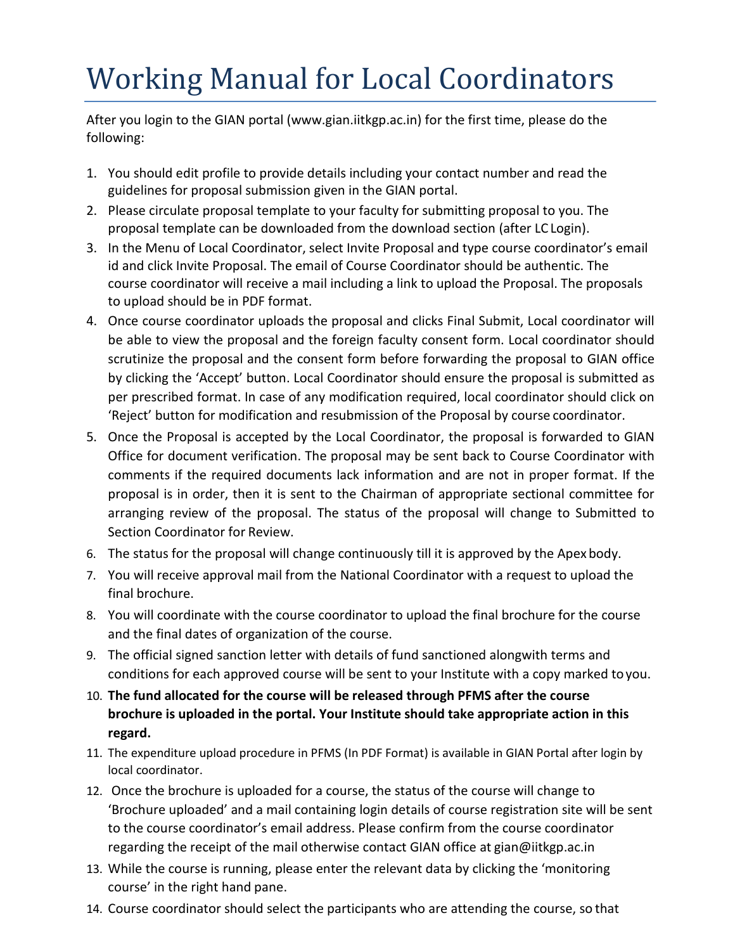## Working Manual for Local Coordinators

After you login to the GIAN portal [\(www.gian.iitkgp.ac.in\)](http://www.gian.iitkgp.ac.in/) for the first time, please do the following:

- 1. You should edit profile to provide details including your contact number and read the guidelines for proposal submission given in the GIAN portal.
- 2. Please circulate proposal template to your faculty for submitting proposal to you. The proposal template can be downloaded from the download section (after LC Login).
- 3. In the Menu of Local Coordinator, select Invite Proposal and type course coordinator's email id and click Invite Proposal. The email of Course Coordinator should be authentic. The course coordinator will receive a mail including a link to upload the Proposal. The proposals to upload should be in PDF format.
- 4. Once course coordinator uploads the proposal and clicks Final Submit, Local coordinator will be able to view the proposal and the foreign faculty consent form. Local coordinator should scrutinize the proposal and the consent form before forwarding the proposal to GIAN office by clicking the 'Accept' button. Local Coordinator should ensure the proposal is submitted as per prescribed format. In case of any modification required, local coordinator should click on 'Reject' button for modification and resubmission of the Proposal by course coordinator.
- 5. Once the Proposal is accepted by the Local Coordinator, the proposal is forwarded to GIAN Office for document verification. The proposal may be sent back to Course Coordinator with comments if the required documents lack information and are not in proper format. If the proposal is in order, then it is sent to the Chairman of appropriate sectional committee for arranging review of the proposal. The status of the proposal will change to Submitted to Section Coordinator for Review.
- 6. The status for the proposal will change continuously till it is approved by the Apex body.
- 7. You will receive approval mail from the National Coordinator with a request to upload the final brochure.
- 8. You will coordinate with the course coordinator to upload the final brochure for the course and the final dates of organization of the course.
- 9. The official signed sanction letter with details of fund sanctioned alongwith terms and conditions for each approved course will be sent to your Institute with a copy marked toyou.
- 10. **The fund allocated for the course will be released through PFMS after the course brochure is uploaded in the portal. Your Institute should take appropriate action in this regard.**
- 11. The expenditure upload procedure in PFMS (In PDF Format) is available in GIAN Portal after login by local coordinator.
- 12. Once the brochure is uploaded for a course, the status of the course will change to 'Brochure uploaded' and a mail containing login details of course registration site will be sent to the course coordinator's email address. Please confirm from the course coordinator regarding the receipt of the mail otherwise contact GIAN office at [gian@iitkgp.ac.in](mailto:gian@iitkgp.ac.in)
- 13. While the course is running, please enter the relevant data by clicking the 'monitoring course' in the right hand pane.
- 14. Course coordinator should select the participants who are attending the course, so that